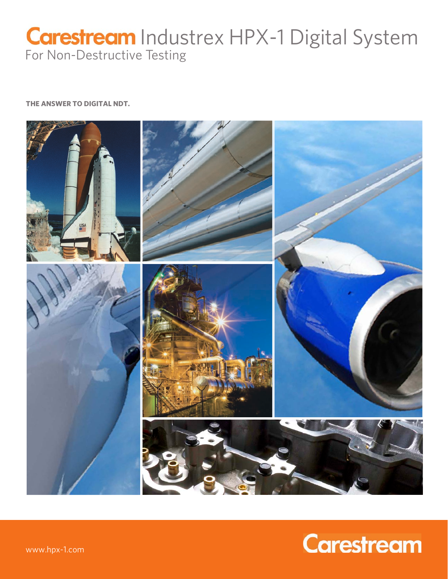## **Carestream** Industrex HPX-1 Digital System For Non-Destructive Testing

**THE ANSWER TO DIGITAL NDT.**



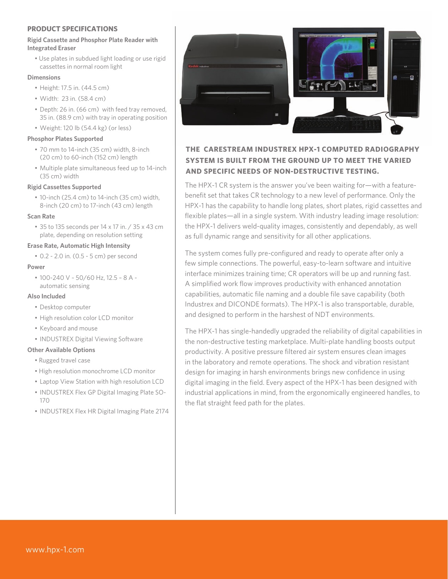#### **PRODUCT SPECIFICATIONS**

#### **Rigid Cassette and Phosphor Plate Reader with Integrated Eraser**

 • Use plates in subdued light loading or use rigid cassettes in normal room light

#### **Dimensions**

- • Height: 17.5 in. (44.5 cm)
- • Width: 23 in. (58.4 cm)
- • Depth: 26 in. (66 cm) with feed tray removed, 35 in. (88.9 cm) with tray in operating position
- • Weight: 120 lb (54.4 kg) (or less)

#### **Phosphor Plates Supported**

- • 70 mm to 14-inch (35 cm) width, 8-inch (20 cm) to 60-inch (152 cm) length
- Multiple plate simultaneous feed up to 14-inch (35 cm) width

#### **Rigid Cassettes Supported**

• 10-inch (25.4 cm) to 14-inch (35 cm) width, 8-inch (20 cm) to 17-inch (43 cm) length

#### **Scan Rate**

• 35 to 135 seconds per 14 x 17 in. / 35 x 43 cm plate, depending on resolution setting

#### **Erase Rate, Automatic High Intensity**

 • 0.2 - 2.0 in. (0.5 - 5 cm) per second

#### **Power**

 • 100-240 V ~ 50/60 Hz, 12.5 – 8 A automatic sensing

#### **Also Included**

- • Desktop computer
- • High resolution color LCD monitor
- • Keyboard and mouse
- INDUSTREX Digital Viewing Software

#### **Other Available Options**

- Rugged travel case
- High resolution monochrome LCD monitor
- Laptop View Station with high resolution LCD
- INDUSTREX Flex GP Digital Imaging Plate SO-170
- INDUSTREX Flex HR Digital Imaging Plate 2174



#### **THE CARESTREAM INDUSTREX HPX-1 COMPUTED RADIOGRAPHY SYSTEM IS BUILT FROM THE GROUND UP TO MEET THE VARIED AND SPECIFIC NEEDS OF NON-DESTRUCTIVE TESTING.**

The HPX-1 CR system is the answer you've been waiting for—with a featurebenefit set that takes CR technology to a new level of performance. Only the HPX-1 has the capability to handle long plates, short plates, rigid cassettes and flexible plates—all in a single system. With industry leading image resolution: the HPX-1 delivers weld-quality images, consistently and dependably, as well as full dynamic range and sensitivity for all other applications.

The system comes fully pre-configured and ready to operate after only a few simple connections. The powerful, easy-to-learn software and intuitive interface minimizes training time; CR operators will be up and running fast. A simplified work flow improves productivity with enhanced annotation capabilities, automatic file naming and a double file save capability (both Industrex and DICONDE formats). The HPX-1 is also transportable, durable, and designed to perform in the harshest of NDT environments.

The HPX-1 has single-handedly upgraded the reliability of digital capabilities in the non-destructive testing marketplace. Multi-plate handling boosts output productivity. A positive pressure filtered air system ensures clean images in the laboratory and remote operations. The shock and vibration resistant design for imaging in harsh environments brings new confidence in using digital imaging in the field. Every aspect of the HPX-1 has been designed with industrial applications in mind, from the ergonomically engineered handles, to the flat straight feed path for the plates.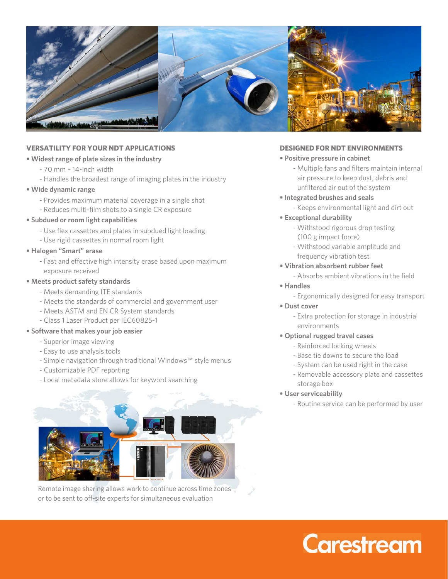

#### **VERSATILITY FOR YOUR NDT APPLICATIONS**

#### **• Widest range of plate sizes in the industry**

- 70 mm 14-inch width
- Handles the broadest range of imaging plates in the industry

#### **• Wide dynamic range**

- Provides maximum material coverage in a single shot
- Reduces multi-film shots to a single CR exposure

#### **• Subdued or room light capabilities**

- Use flex cassettes and plates in subdued light loading
- Use rigid cassettes in normal room light

#### **• Halogen "Smart" erase**

- Fast and effective high intensity erase based upon maximum exposure received

#### **• Meets product safety standards**

- Meets demanding ITE standards
- Meets the standards of commercial and government user
- Meets ASTM and EN CR System standards
- Class 1 Laser Product per IEC60825-1

#### **• Software that makes your job easier**

- Superior image viewing
- Easy to use analysis tools
- Simple navigation through traditional Windows™ style menus
- Customizable PDF reporting
- Local metadata store allows for keyword searching



Remote image sharing allows work to continue across time zones or to be sent to off-site experts for simultaneous evaluation

#### **DESIGNED FOR NDT ENVIRONMENTS**

#### **• Positive pressure in cabinet**

 - Multiple fans and filters maintain internal air pressure to keep dust, debris and unfiltered air out of the system

#### **• Integrated brushes and seals**

- Keeps environmental light and dirt out

#### **• Exceptional durability**

- Withstood rigorous drop testing (100 g impact force)
- Withstood variable amplitude and frequency vibration test
- **Vibration absorbent rubber feet** 
	- Absorbs ambient vibrations in the field

#### **• Handles**

- Ergonomically designed for easy transport
- **Dust cover** 
	- Extra protection for storage in industrial environments
- **Optional rugged travel cases**
	- Reinforced locking wheels
	- Base tie downs to secure the load
	- System can be used right in the case
	- Removable accessory plate and cassettes storage box

#### **• User serviceability**

- Routine service can be performed by user

# **Carestream**